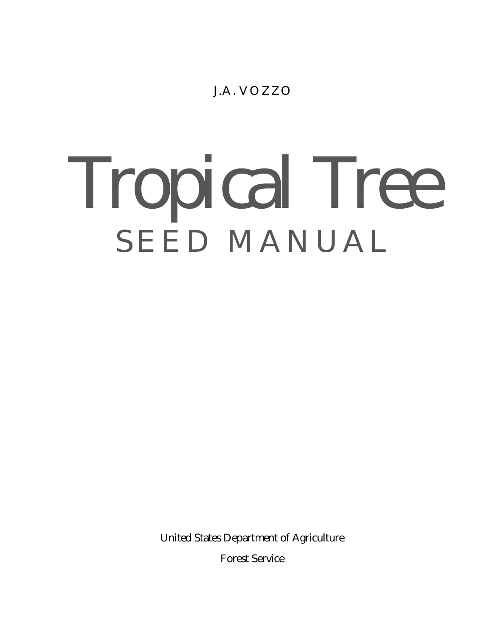## J.A . VOZZO

## *Tropical Tree* SEED MANUAL

United States Department of Agriculture

Forest Service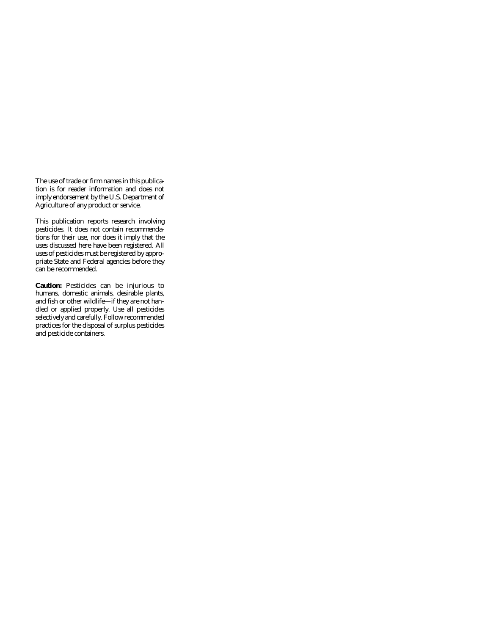The use of trade or firm names in this publication is for reader information and does not imply endorsement by the U.S. Department of Agriculture of any product or service.

This publication reports research involving pesticides. It does not contain recommendations for their use, nor does it imply that the uses discussed here have been registered. All uses of pesticides must be registered by appropriate State and Federal agencies before they can be recommended.

**Caution:** Pesticides can be injurious to humans, domestic animals, desirable plants, and fish or other wildlife—if they are not handled or applied properly. Use all pesticides selectively and carefully. Follow recommended practices for the disposal of surplus pesticides and pesticide containers.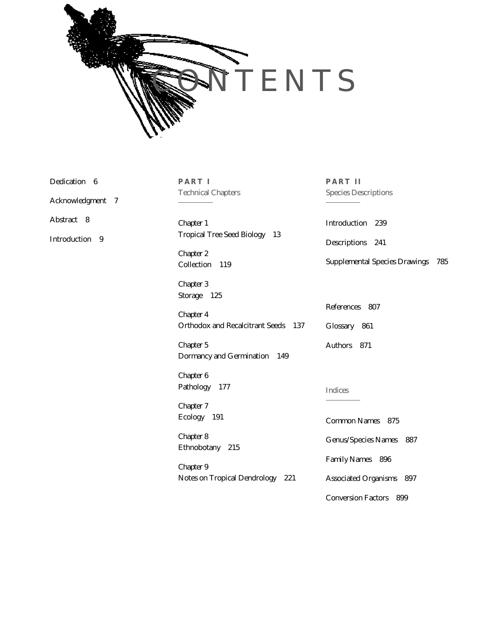

Dedication 6

Acknowledgment 7

Abstract 8

Introduction 9

**PART I** Technical Chapters

*Chapter 1* Tropical Tree Seed Biology 13

*Chapter 2* Collection 119

*Chapter 3* Storage 125

*Chapter 4* Orthodox and Recalcitrant Seeds 137

*Chapter 5* Dormancy and Germination 149

*Chapter 6* Pathology 177

*Chapter 7* Ecology 191

*Chapter 9*

*Chapter 8*

Ethnobotany 215

**PART II** Species Descriptions

Introduction 239 Descriptions 241 Supplemental Species Drawings 785

References 807 Glossary 861

Authors 871

Indices

Notes on Tropical Dendrology 221 Common Names 875 Genus/Species Names 887 Family Names 896 Associated Organisms 897

Conversion Factors 899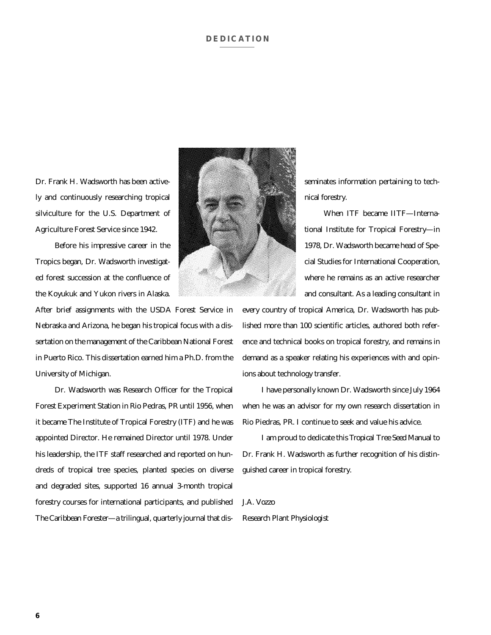## **DEDICATION**

Dr. Frank H. Wadsworth has been actively and continuously researching tropical silviculture for the U.S. Department of Agriculture Forest Service since 1942.

Before his impressive career in the Tropics began, Dr. Wadsworth investigated forest succession at the confluence of the Koyukuk and Yukon rivers in Alaska.

After brief assignments with the USDA Forest Service in Nebraska and Arizona, he began his tropical focus with a dissertation on the management of the Caribbean National Forest in Puerto Rico. This dissertation earned him a Ph.D. from the University of Michigan.

Dr. Wadsworth was Research Officer for the Tropical Forest Experiment Station in Rio Pedras, PR until 1956, when it became The Institute of Tropical Forestry (ITF) and he was appointed Director. He remained Director until 1978. Under his leadership, the ITF staff researched and reported on hundreds of tropical tree species, planted species on diverse and degraded sites, supported 16 annual 3-month tropical forestry courses for international participants, and published *The Caribbean Forester*—a trilingual, quarterly journal that dis-



seminates information pertaining to technical forestry.

When ITF became IITF—International Institute for Tropical Forestry—in 1978, Dr. Wadsworth became head of Special Studies for International Cooperation, where he remains as an active researcher and consultant. As a leading consultant in

every country of tropical America, Dr. Wadsworth has published more than 100 scientific articles, authored both reference and technical books on tropical forestry, and remains in demand as a speaker relating his experiences with and opinions about technology transfer.

I have personally known Dr. Wadsworth since July 1964 when he was an advisor for my own research dissertation in Rio Piedras, PR. I continue to seek and value his advice.

I am proud to dedicate this *Tropical Tree Seed Manual* to Dr. Frank H. Wadsworth as further recognition of his distinguished career in tropical forestry.

*J.A. Vozzo Research Plant Physiologist*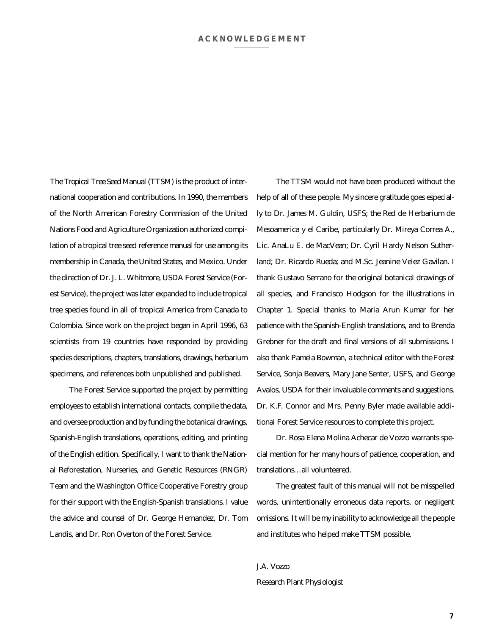The *Tropical Tree Seed Manual* (TTSM) is the product of international cooperation and contributions. In 1990, the members of the North American Forestry Commission of the United Nations Food and Agriculture Organization authorized compilation of a tropical tree seed reference manual for use among its membership in Canada, the United States, and Mexico. Under the direction of Dr. J. L. Whitmore, USDA Forest Service (Forest Service), the project was later expanded to include tropical tree species found in all of tropical America from Canada to Colombia. Since work on the project began in April 1996, 63 scientists from 19 countries have responded by providing species descriptions, chapters, translations, drawings, herbarium specimens, and references both unpublished and published.

The Forest Service supported the project by permitting employees to establish international contacts, compile the data, and oversee production and by funding the botanical drawings, Spanish-English translations, operations, editing, and printing of the English edition. Specifically, I want to thank the National Reforestation, Nurseries, and Genetic Resources (RNGR) Team and the Washington Office Cooperative Forestry group for their support with the English-Spanish translations. I value the advice and counsel of Dr. George Hernandez, Dr. Tom Landis, and Dr. Ron Overton of the Forest Service.

The TTSM would not have been produced without the help of all of these people. My sincere gratitude goes especially to Dr. James M. Guldin, USFS; the Red de Herbarium de Mesoamerica y el Caribe, particularly Dr. Mireya Correa A., Lic. AnaLu E. de MacVean; Dr. Cyril Hardy Nelson Sutherland; Dr. Ricardo Rueda; and M.Sc. Jeanine Velez Gavilan. I thank Gustavo Serrano for the original botanical drawings of all species, and Francisco Hodgson for the illustrations in Chapter 1. Special thanks to Maria Arun Kumar for her patience with the Spanish-English translations, and to Brenda Grebner for the draft and final versions of all submissions. I also thank Pamela Bowman, a technical editor with the Forest Service, Sonja Beavers, Mary Jane Senter, USFS, and George Avalos, USDA for their invaluable comments and suggestions. Dr. K.F. Connor and Mrs. Penny Byler made available additional Forest Service resources to complete this project.

Dr. Rosa Elena Molina Achecar de Vozzo warrants special mention for her many hours of patience, cooperation, and translations…all volunteered.

The greatest fault of this manual will not be misspelled words, unintentionally erroneous data reports, or negligent omissions. It will be my inability to acknowledge all the people and institutes who helped make TTSM possible.

*J.A. Vozzo Research Plant Physiologist*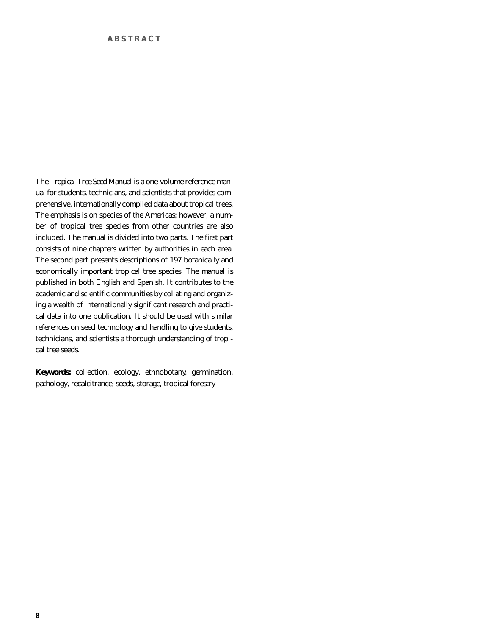The *Tropical Tree Seed Manual* is a one-volume reference manual for students, technicians, and scientists that provides comprehensive, internationally compiled data about tropical trees. The emphasis is on species of the Americas; however, a number of tropical tree species from other countries are also included. The manual is divided into two parts. The first part consists of nine chapters written by authorities in each area. The second part presents descriptions of 197 botanically and economically important tropical tree species. The manual is published in both English and Spanish. It contributes to the academic and scientific communities by collating and organizing a wealth of internationally significant research and practical data into one publication. It should be used with similar references on seed technology and handling to give students, technicians, and scientists a thorough understanding of tropical tree seeds.

**Keywords:** collection, ecology, ethnobotany, germination, pathology, recalcitrance, seeds, storage, tropical forestry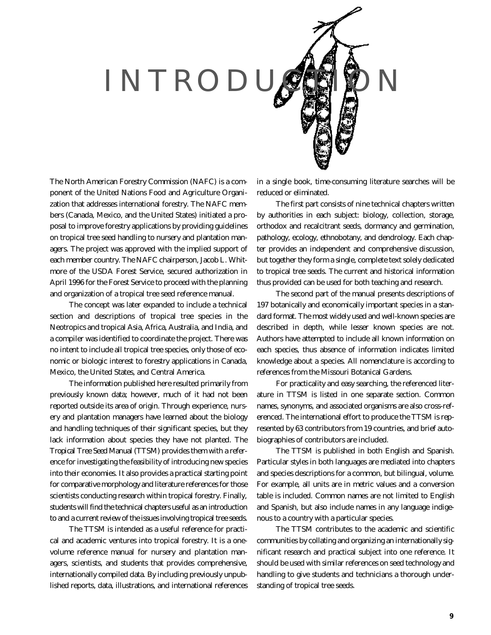

The North American Forestry Commission (NAFC) is a component of the United Nations Food and Agriculture Organization that addresses international forestry. The NAFC members (Canada, Mexico, and the United States) initiated a proposal to improve forestry applications by providing guidelines on tropical tree seed handling to nursery and plantation managers. The project was approved with the implied support of each member country. The NAFC chairperson, Jacob L. Whitmore of the USDA Forest Service, secured authorization in April 1996 for the Forest Service to proceed with the planning and organization of a tropical tree seed reference manual.

The concept was later expanded to include a technical section and descriptions of tropical tree species in the Neotropics and tropical Asia, Africa, Australia, and India, and a compiler was identified to coordinate the project. There was no intent to include all tropical tree species, only those of economic or biologic interest to forestry applications in Canada, Mexico, the United States, and Central America.

The information published here resulted primarily from previously known data; however, much of it had not been reported outside its area of origin. Through experience, nursery and plantation managers have learned about the biology and handling techniques of their significant species, but they lack information about species they have not planted. The *Tropical Tree Seed Manual* (TTSM) provides them with a reference for investigating the feasibility of introducing new species into their economies. It also provides a practical starting point for comparative morphology and literature references for those scientists conducting research within tropical forestry. Finally, students will find the technical chapters useful as an introduction to and a current review of the issues involving tropical tree seeds.

The TTSM is intended as a useful reference for practical and academic ventures into tropical forestry. It is a onevolume reference manual for nursery and plantation managers, scientists, and students that provides comprehensive, internationally compiled data. By including previously unpublished reports, data, illustrations, and international references

in a single book, time-consuming literature searches will be reduced or eliminated.

The first part consists of nine technical chapters written by authorities in each subject: biology, collection, storage, orthodox and recalcitrant seeds, dormancy and germination, pathology, ecology, ethnobotany, and dendrology. Each chapter provides an independent and comprehensive discussion, but together they form a single, complete text solely dedicated to tropical tree seeds. The current and historical information thus provided can be used for both teaching and research.

The second part of the manual presents descriptions of 197 botanically and economically important species in a standard format. The most widely used and well-known species are described in depth, while lesser known species are not. Authors have attempted to include all known information on each species, thus absence of information indicates limited knowledge about a species. All nomenclature is according to references from the Missouri Botanical Gardens.

For practicality and easy searching, the referenced literature in TTSM is listed in one separate section. Common names, synonyms, and associated organisms are also cross-referenced. The international effort to produce the TTSM is represented by 63 contributors from 19 countries, and brief autobiographies of contributors are included.

The TTSM is published in both English and Spanish. Particular styles in both languages are mediated into chapters and species descriptions for a common, but bilingual, volume. For example, all units are in metric values and a conversion table is included. Common names are not limited to English and Spanish, but also include names in any language indigenous to a country with a particular species.

The TTSM contributes to the academic and scientific communities by collating and organizing an internationally significant research and practical subject into one reference. It should be used with similar references on seed technology and handling to give students and technicians a thorough understanding of tropical tree seeds.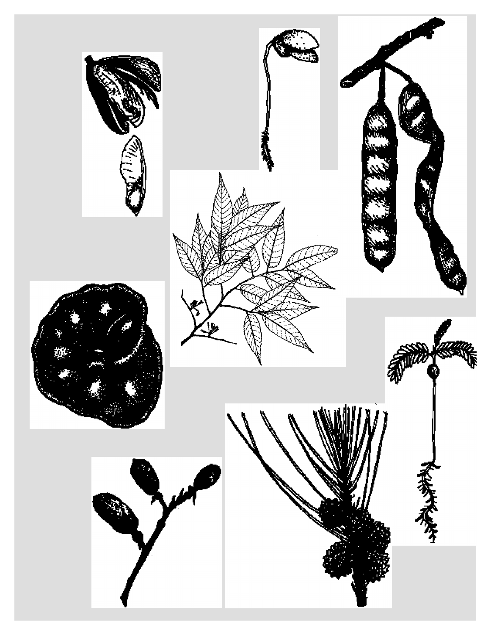